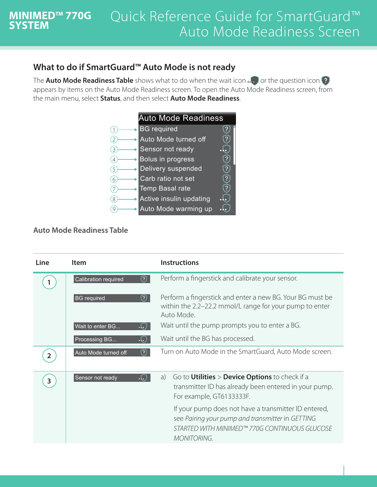## **What to do if SmartGuard™ Auto Mode is not ready**

The **Auto Mode Readiness Table** shows what to do when the wait icon **or the question icon** ? appears by items on the Auto Mode Readiness screen. To open the Auto Mode Readiness screen, from the main menu, select **Status**, and then select **Auto Mode Readiness**.



## **Auto Mode Readiness Table**

**MINIMEDTM 770G** 

**SYSTEM**

| Line           | <b>Item</b>                   | <b>Instructions</b>                                                                                                                                                             |
|----------------|-------------------------------|---------------------------------------------------------------------------------------------------------------------------------------------------------------------------------|
|                | ⑦<br>Calibration required     | Perform a fingerstick and calibrate your sensor.                                                                                                                                |
|                | ♡.<br><b>BG</b> required      | Perform a fingerstick and enter a new BG. Your BG must be<br>within the 2.2-22.2 mmol/L range for your pump to enter<br>Auto Mode.                                              |
|                | Wait to enter BG<br>$\cdot$ . | Wait until the pump prompts you to enter a BG.                                                                                                                                  |
|                | Processing BG<br>$\cdot$ .    | Wait until the BG has processed.                                                                                                                                                |
| $\mathbf{2}$   | ි)<br>Auto Mode turned off    | Turn on Auto Mode in the SmartGuard, Auto Mode screen.                                                                                                                          |
| $\overline{3}$ | Sensor not ready<br>$\cdot$ . | Go to <b>Utilities &gt; Device Options</b> to check if a<br>a)<br>transmitter ID has already been entered in your pump.<br>For example, GT6133333F.                             |
|                |                               | If your pump does not have a transmitter ID entered,<br>see Pairing your pump and transmitter in GETTING<br>STARTED WITH MINIMED™ 770G CONTINUOUS GLUCOSE<br><b>MONITORING.</b> |